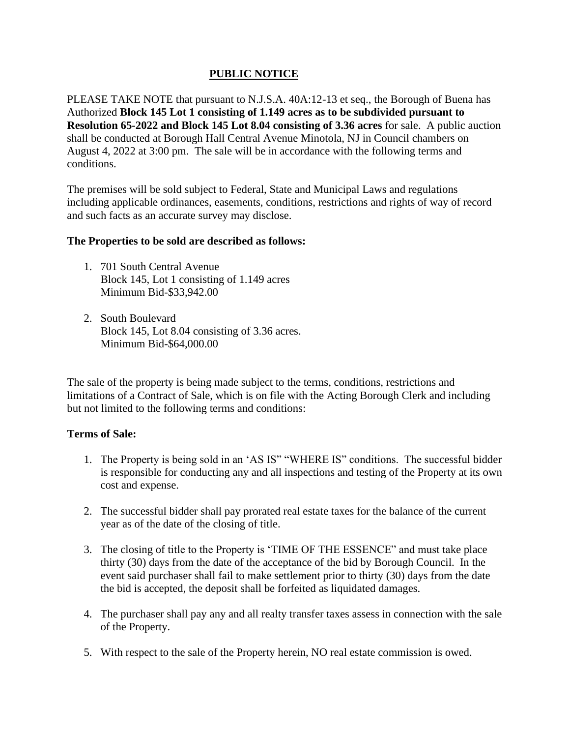## **PUBLIC NOTICE**

PLEASE TAKE NOTE that pursuant to N.J.S.A. 40A:12-13 et seq., the Borough of Buena has Authorized **Block 145 Lot 1 consisting of 1.149 acres as to be subdivided pursuant to Resolution 65-2022 and Block 145 Lot 8.04 consisting of 3.36 acres** for sale. A public auction shall be conducted at Borough Hall Central Avenue Minotola, NJ in Council chambers on August 4, 2022 at 3:00 pm. The sale will be in accordance with the following terms and conditions.

The premises will be sold subject to Federal, State and Municipal Laws and regulations including applicable ordinances, easements, conditions, restrictions and rights of way of record and such facts as an accurate survey may disclose.

## **The Properties to be sold are described as follows:**

- 1. 701 South Central Avenue Block 145, Lot 1 consisting of 1.149 acres Minimum Bid-\$33,942.00
- 2. South Boulevard Block 145, Lot 8.04 consisting of 3.36 acres. Minimum Bid-\$64,000.00

The sale of the property is being made subject to the terms, conditions, restrictions and limitations of a Contract of Sale, which is on file with the Acting Borough Clerk and including but not limited to the following terms and conditions:

## **Terms of Sale:**

- 1. The Property is being sold in an 'AS IS" "WHERE IS" conditions. The successful bidder is responsible for conducting any and all inspections and testing of the Property at its own cost and expense.
- 2. The successful bidder shall pay prorated real estate taxes for the balance of the current year as of the date of the closing of title.
- 3. The closing of title to the Property is 'TIME OF THE ESSENCE" and must take place thirty (30) days from the date of the acceptance of the bid by Borough Council. In the event said purchaser shall fail to make settlement prior to thirty (30) days from the date the bid is accepted, the deposit shall be forfeited as liquidated damages.
- 4. The purchaser shall pay any and all realty transfer taxes assess in connection with the sale of the Property.
- 5. With respect to the sale of the Property herein, NO real estate commission is owed.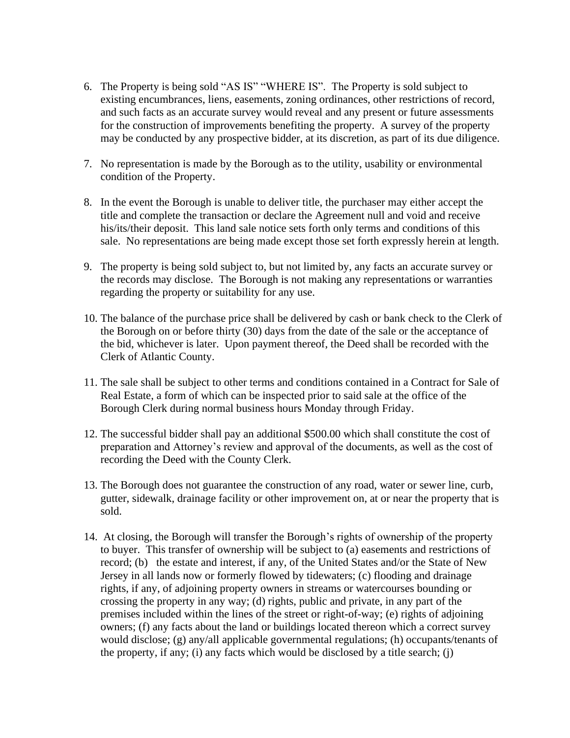- 6. The Property is being sold "AS IS" "WHERE IS". The Property is sold subject to existing encumbrances, liens, easements, zoning ordinances, other restrictions of record, and such facts as an accurate survey would reveal and any present or future assessments for the construction of improvements benefiting the property. A survey of the property may be conducted by any prospective bidder, at its discretion, as part of its due diligence.
- 7. No representation is made by the Borough as to the utility, usability or environmental condition of the Property.
- 8. In the event the Borough is unable to deliver title, the purchaser may either accept the title and complete the transaction or declare the Agreement null and void and receive his/its/their deposit. This land sale notice sets forth only terms and conditions of this sale. No representations are being made except those set forth expressly herein at length.
- 9. The property is being sold subject to, but not limited by, any facts an accurate survey or the records may disclose. The Borough is not making any representations or warranties regarding the property or suitability for any use.
- 10. The balance of the purchase price shall be delivered by cash or bank check to the Clerk of the Borough on or before thirty (30) days from the date of the sale or the acceptance of the bid, whichever is later. Upon payment thereof, the Deed shall be recorded with the Clerk of Atlantic County.
- 11. The sale shall be subject to other terms and conditions contained in a Contract for Sale of Real Estate, a form of which can be inspected prior to said sale at the office of the Borough Clerk during normal business hours Monday through Friday.
- 12. The successful bidder shall pay an additional \$500.00 which shall constitute the cost of preparation and Attorney's review and approval of the documents, as well as the cost of recording the Deed with the County Clerk.
- 13. The Borough does not guarantee the construction of any road, water or sewer line, curb, gutter, sidewalk, drainage facility or other improvement on, at or near the property that is sold.
- 14. At closing, the Borough will transfer the Borough's rights of ownership of the property to buyer. This transfer of ownership will be subject to (a) easements and restrictions of record; (b) the estate and interest, if any, of the United States and/or the State of New Jersey in all lands now or formerly flowed by tidewaters; (c) flooding and drainage rights, if any, of adjoining property owners in streams or watercourses bounding or crossing the property in any way; (d) rights, public and private, in any part of the premises included within the lines of the street or right-of-way; (e) rights of adjoining owners; (f) any facts about the land or buildings located thereon which a correct survey would disclose; (g) any/all applicable governmental regulations; (h) occupants/tenants of the property, if any; (i) any facts which would be disclosed by a title search; (j)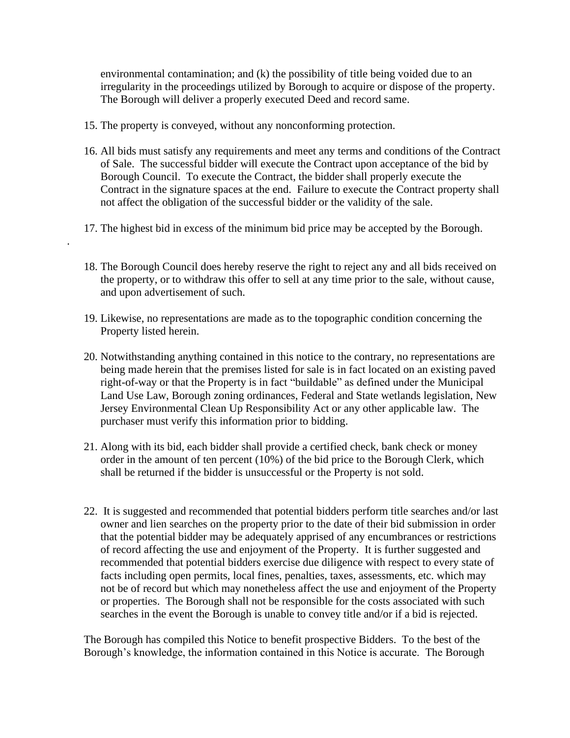environmental contamination; and (k) the possibility of title being voided due to an irregularity in the proceedings utilized by Borough to acquire or dispose of the property. The Borough will deliver a properly executed Deed and record same.

15. The property is conveyed, without any nonconforming protection.

.

- 16. All bids must satisfy any requirements and meet any terms and conditions of the Contract of Sale. The successful bidder will execute the Contract upon acceptance of the bid by Borough Council. To execute the Contract, the bidder shall properly execute the Contract in the signature spaces at the end. Failure to execute the Contract property shall not affect the obligation of the successful bidder or the validity of the sale.
- 17. The highest bid in excess of the minimum bid price may be accepted by the Borough.
- 18. The Borough Council does hereby reserve the right to reject any and all bids received on the property, or to withdraw this offer to sell at any time prior to the sale, without cause, and upon advertisement of such.
- 19. Likewise, no representations are made as to the topographic condition concerning the Property listed herein.
- 20. Notwithstanding anything contained in this notice to the contrary, no representations are being made herein that the premises listed for sale is in fact located on an existing paved right-of-way or that the Property is in fact "buildable" as defined under the Municipal Land Use Law, Borough zoning ordinances, Federal and State wetlands legislation, New Jersey Environmental Clean Up Responsibility Act or any other applicable law. The purchaser must verify this information prior to bidding.
- 21. Along with its bid, each bidder shall provide a certified check, bank check or money order in the amount of ten percent (10%) of the bid price to the Borough Clerk, which shall be returned if the bidder is unsuccessful or the Property is not sold.
- 22. It is suggested and recommended that potential bidders perform title searches and/or last owner and lien searches on the property prior to the date of their bid submission in order that the potential bidder may be adequately apprised of any encumbrances or restrictions of record affecting the use and enjoyment of the Property. It is further suggested and recommended that potential bidders exercise due diligence with respect to every state of facts including open permits, local fines, penalties, taxes, assessments, etc. which may not be of record but which may nonetheless affect the use and enjoyment of the Property or properties. The Borough shall not be responsible for the costs associated with such searches in the event the Borough is unable to convey title and/or if a bid is rejected.

The Borough has compiled this Notice to benefit prospective Bidders. To the best of the Borough's knowledge, the information contained in this Notice is accurate. The Borough